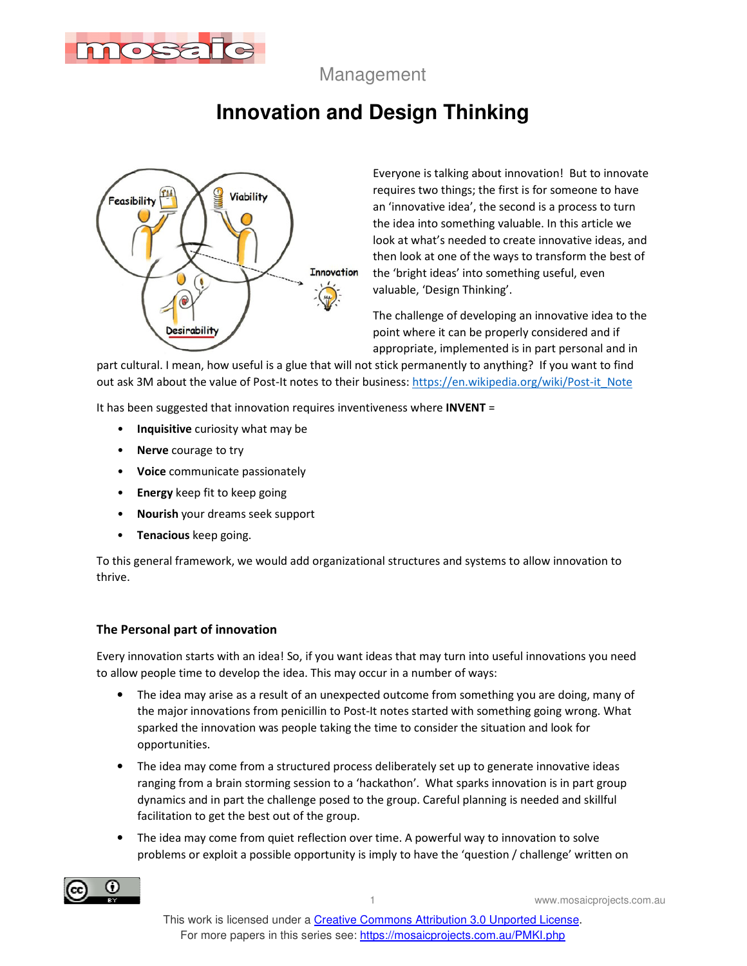

Management

# **Innovation and Design Thinking**



Everyone is talking about innovation! But to innovate requires two things; the first is for someone to have an 'innovative idea', the second is a process to turn the idea into something valuable. In this article we look at what's needed to create innovative ideas, and then look at one of the ways to transform the best of the 'bright ideas' into something useful, even valuable, 'Design Thinking'.

The challenge of developing an innovative idea to the point where it can be properly considered and if appropriate, implemented is in part personal and in

part cultural. I mean, how useful is a glue that will not stick permanently to anything? If you want to find out ask 3M about the value of Post-It notes to their business: https://en.wikipedia.org/wiki/Post-it\_Note

It has been suggested that innovation requires inventiveness where **INVENT** =

- **Inquisitive** curiosity what may be
- **Nerve** courage to try
- **Voice** communicate passionately
- **Energy** keep fit to keep going
- **Nourish** your dreams seek support
- **Tenacious** keep going.

To this general framework, we would add organizational structures and systems to allow innovation to thrive.

#### **The Personal part of innovation**

Every innovation starts with an idea! So, if you want ideas that may turn into useful innovations you need to allow people time to develop the idea. This may occur in a number of ways:

- The idea may arise as a result of an unexpected outcome from something you are doing, many of the major innovations from penicillin to Post-It notes started with something going wrong. What sparked the innovation was people taking the time to consider the situation and look for opportunities.
- The idea may come from a structured process deliberately set up to generate innovative ideas ranging from a brain storming session to a 'hackathon'. What sparks innovation is in part group dynamics and in part the challenge posed to the group. Careful planning is needed and skillful facilitation to get the best out of the group.
- The idea may come from quiet reflection over time. A powerful way to innovation to solve problems or exploit a possible opportunity is imply to have the 'question / challenge' written on

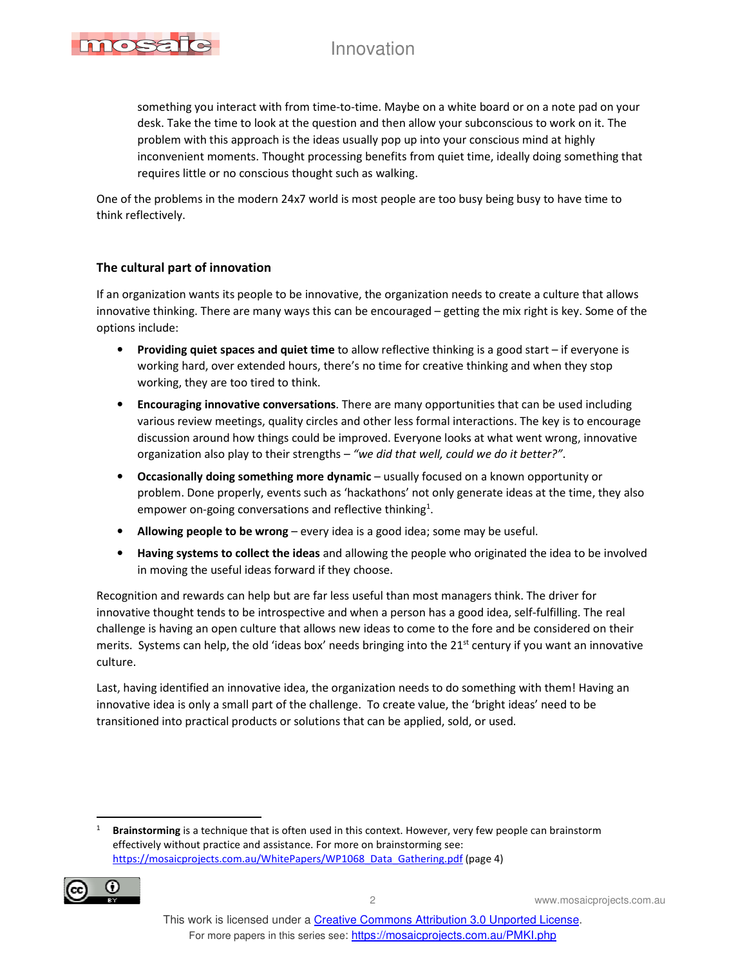

something you interact with from time-to-time. Maybe on a white board or on a note pad on your desk. Take the time to look at the question and then allow your subconscious to work on it. The problem with this approach is the ideas usually pop up into your conscious mind at highly inconvenient moments. Thought processing benefits from quiet time, ideally doing something that requires little or no conscious thought such as walking.

One of the problems in the modern 24x7 world is most people are too busy being busy to have time to think reflectively.

#### **The cultural part of innovation**

If an organization wants its people to be innovative, the organization needs to create a culture that allows innovative thinking. There are many ways this can be encouraged – getting the mix right is key. Some of the options include:

- **Providing quiet spaces and quiet time** to allow reflective thinking is a good start if everyone is working hard, over extended hours, there's no time for creative thinking and when they stop working, they are too tired to think.
- **Encouraging innovative conversations**. There are many opportunities that can be used including various review meetings, quality circles and other less formal interactions. The key is to encourage discussion around how things could be improved. Everyone looks at what went wrong, innovative organization also play to their strengths – *"we did that well, could we do it better?"*.
- **Occasionally doing something more dynamic** usually focused on a known opportunity or problem. Done properly, events such as 'hackathons' not only generate ideas at the time, they also empower on-going conversations and reflective thinking<sup>1</sup>.
- **Allowing people to be wrong** every idea is a good idea; some may be useful.
- **Having systems to collect the ideas** and allowing the people who originated the idea to be involved in moving the useful ideas forward if they choose.

Recognition and rewards can help but are far less useful than most managers think. The driver for innovative thought tends to be introspective and when a person has a good idea, self-fulfilling. The real challenge is having an open culture that allows new ideas to come to the fore and be considered on their merits. Systems can help, the old 'ideas box' needs bringing into the  $21<sup>st</sup>$  century if you want an innovative culture.

Last, having identified an innovative idea, the organization needs to do something with them! Having an innovative idea is only a small part of the challenge. To create value, the 'bright ideas' need to be transitioned into practical products or solutions that can be applied, sold, or used.

<sup>1</sup> **Brainstorming** is a technique that is often used in this context. However, very few people can brainstorm effectively without practice and assistance. For more on brainstorming see: https://mosaicprojects.com.au/WhitePapers/WP1068\_Data\_Gathering.pdf (page 4)

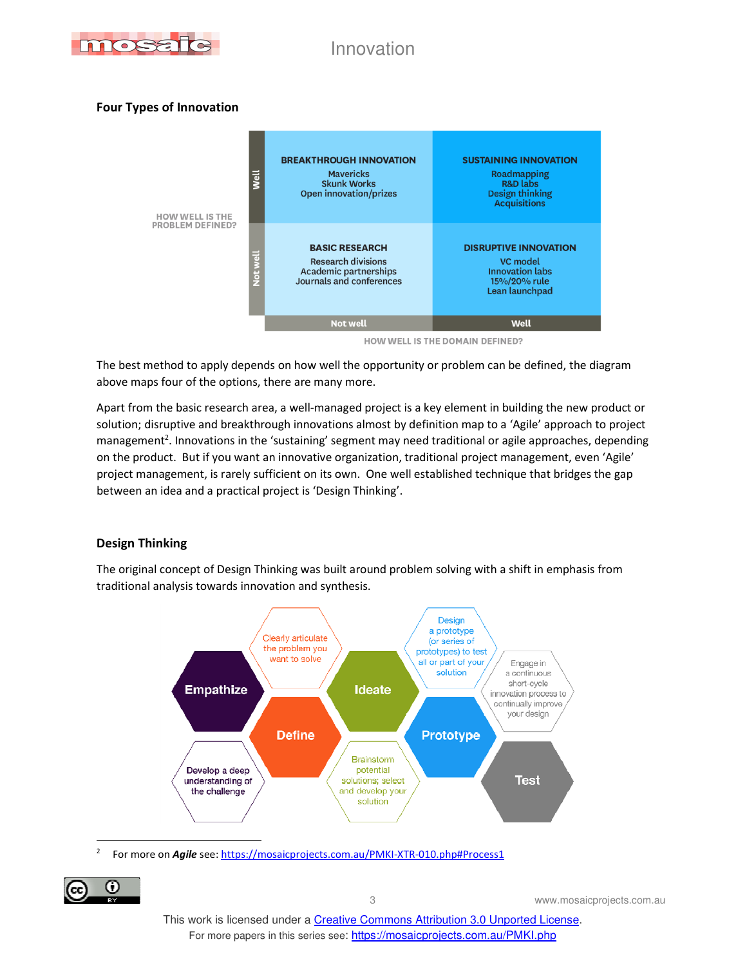

#### **Four Types of Innovation**



HOW WELL IS THE DOMAIN DEFINED?

The best method to apply depends on how well the opportunity or problem can be defined, the diagram above maps four of the options, there are many more.

Apart from the basic research area, a well-managed project is a key element in building the new product or solution; disruptive and breakthrough innovations almost by definition map to a 'Agile' approach to project management<sup>2</sup>. Innovations in the 'sustaining' segment may need traditional or agile approaches, depending on the product. But if you want an innovative organization, traditional project management, even 'Agile' project management, is rarely sufficient on its own. One well established technique that bridges the gap between an idea and a practical project is 'Design Thinking'.

#### **Design Thinking**

The original concept of Design Thinking was built around problem solving with a shift in emphasis from traditional analysis towards innovation and synthesis.



2 For more on *Agile* see: https://mosaicprojects.com.au/PMKI-XTR-010.php#Process1

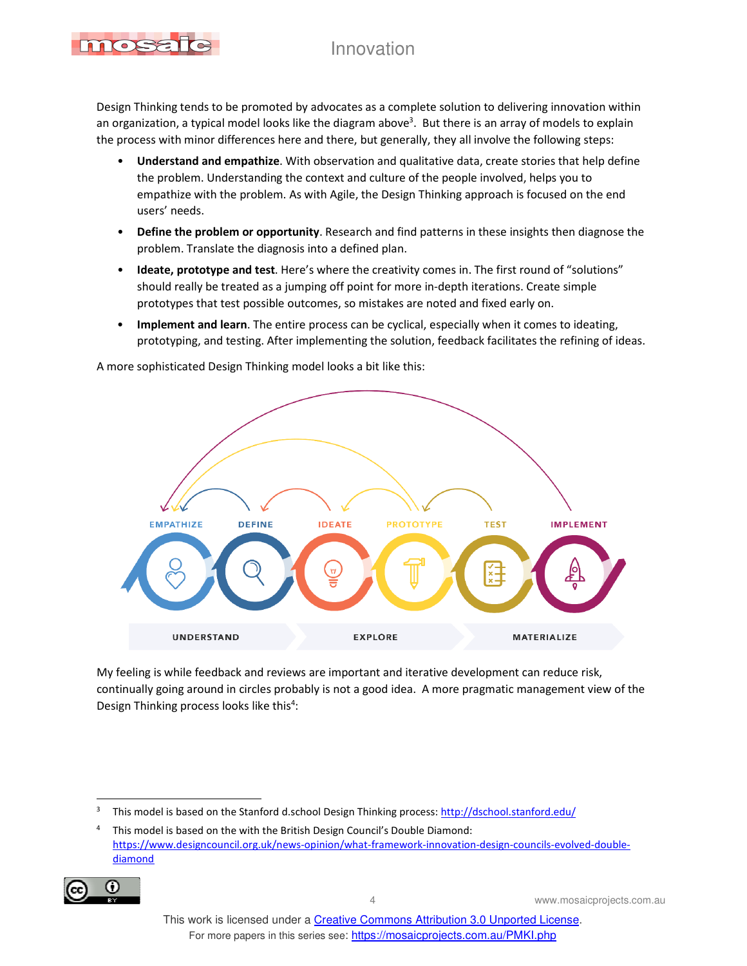Design Thinking tends to be promoted by advocates as a complete solution to delivering innovation within an organization, a typical model looks like the diagram above<sup>3</sup>. But there is an array of models to explain the process with minor differences here and there, but generally, they all involve the following steps:

- **Understand and empathize**. With observation and qualitative data, create stories that help define the problem. Understanding the context and culture of the people involved, helps you to empathize with the problem. As with Agile, the Design Thinking approach is focused on the end users' needs.
- **Define the problem or opportunity**. Research and find patterns in these insights then diagnose the problem. Translate the diagnosis into a defined plan.
- **Ideate, prototype and test**. Here's where the creativity comes in. The first round of "solutions" should really be treated as a jumping off point for more in-depth iterations. Create simple prototypes that test possible outcomes, so mistakes are noted and fixed early on.
- **Implement and learn**. The entire process can be cyclical, especially when it comes to ideating, prototyping, and testing. After implementing the solution, feedback facilitates the refining of ideas.



A more sophisticated Design Thinking model looks a bit like this:

My feeling is while feedback and reviews are important and iterative development can reduce risk, continually going around in circles probably is not a good idea. A more pragmatic management view of the Design Thinking process looks like this<sup>4</sup>:

<sup>4</sup> This model is based on the with the British Design Council's Double Diamond: https://www.designcouncil.org.uk/news-opinion/what-framework-innovation-design-councils-evolved-doublediamond



<sup>3</sup> This model is based on the Stanford d.school Design Thinking process: http://dschool.stanford.edu/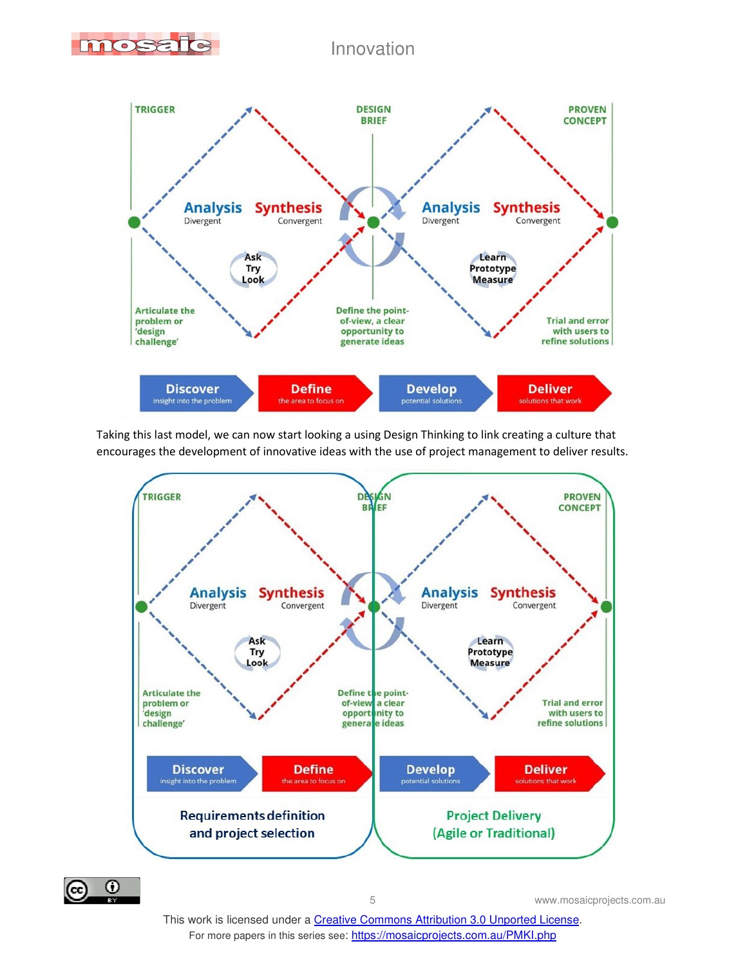



Taking this last model, we can now start looking a using Design Thinking to link creating a culture that encourages the development of innovative ideas with the use of project management to deliver results.



 $\odot$ (cc)